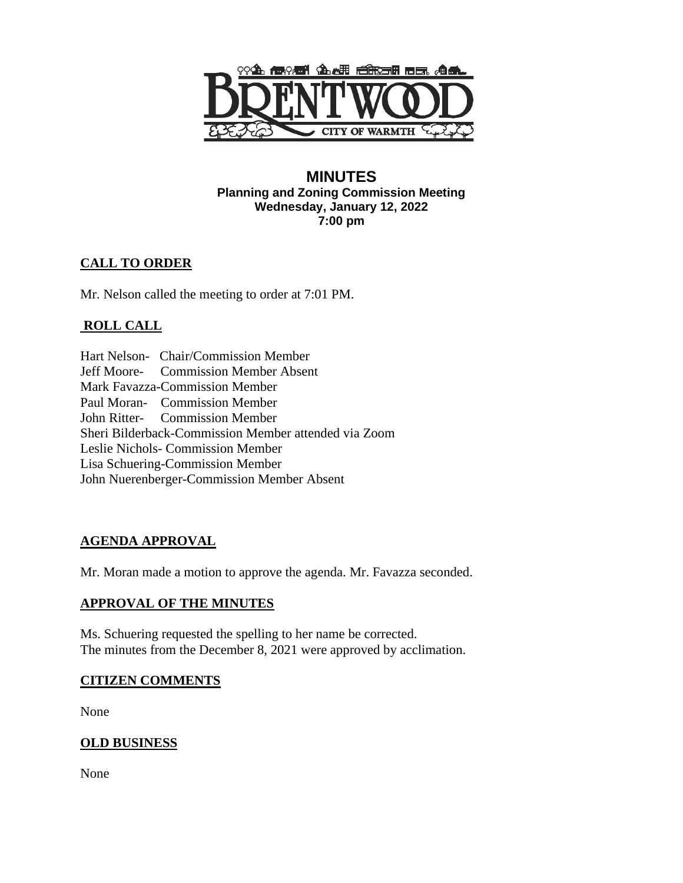

### **MINUTES Planning and Zoning Commission Meeting Wednesday, January 12, 2022 7:00 pm**

# **CALL TO ORDER**

Mr. Nelson called the meeting to order at 7:01 PM.

# **ROLL CALL**

Hart Nelson- Chair/Commission Member Jeff Moore- Commission Member Absent Mark Favazza-Commission Member Paul Moran- Commission Member John Ritter- Commission Member Sheri Bilderback-Commission Member attended via Zoom Leslie Nichols- Commission Member Lisa Schuering-Commission Member John Nuerenberger-Commission Member Absent

## **AGENDA APPROVAL**

Mr. Moran made a motion to approve the agenda. Mr. Favazza seconded.

## **APPROVAL OF THE MINUTES**

Ms. Schuering requested the spelling to her name be corrected. The minutes from the December 8, 2021 were approved by acclimation.

## **CITIZEN COMMENTS**

None

## **OLD BUSINESS**

None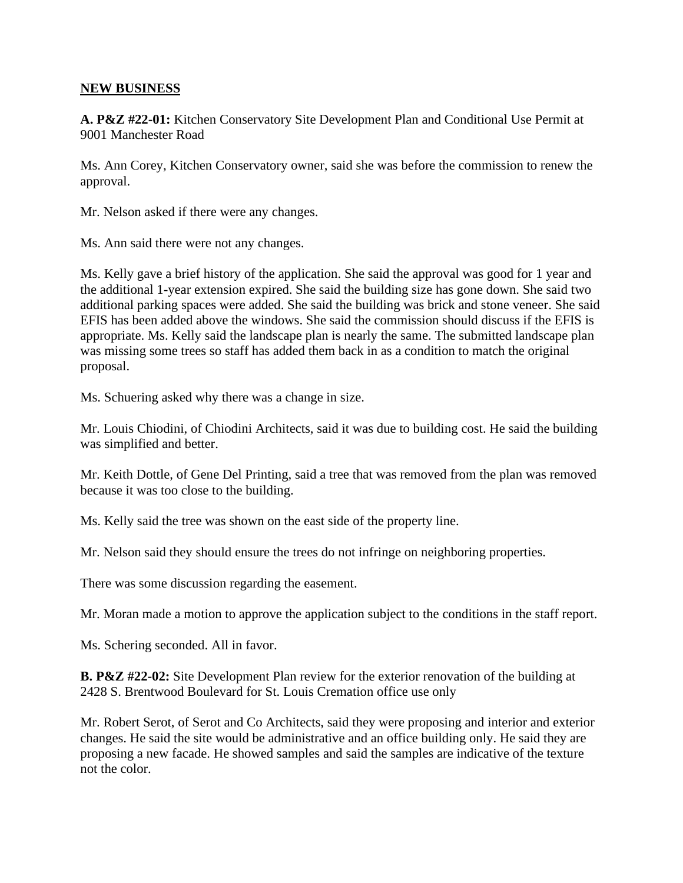#### **NEW BUSINESS**

**A. P&Z #22-01:** Kitchen Conservatory Site Development Plan and Conditional Use Permit at 9001 Manchester Road

Ms. Ann Corey, Kitchen Conservatory owner, said she was before the commission to renew the approval.

Mr. Nelson asked if there were any changes.

Ms. Ann said there were not any changes.

Ms. Kelly gave a brief history of the application. She said the approval was good for 1 year and the additional 1-year extension expired. She said the building size has gone down. She said two additional parking spaces were added. She said the building was brick and stone veneer. She said EFIS has been added above the windows. She said the commission should discuss if the EFIS is appropriate. Ms. Kelly said the landscape plan is nearly the same. The submitted landscape plan was missing some trees so staff has added them back in as a condition to match the original proposal.

Ms. Schuering asked why there was a change in size.

Mr. Louis Chiodini, of Chiodini Architects, said it was due to building cost. He said the building was simplified and better.

Mr. Keith Dottle, of Gene Del Printing, said a tree that was removed from the plan was removed because it was too close to the building.

Ms. Kelly said the tree was shown on the east side of the property line.

Mr. Nelson said they should ensure the trees do not infringe on neighboring properties.

There was some discussion regarding the easement.

Mr. Moran made a motion to approve the application subject to the conditions in the staff report.

Ms. Schering seconded. All in favor.

**B. P&Z #22-02:** Site Development Plan review for the exterior renovation of the building at 2428 S. Brentwood Boulevard for St. Louis Cremation office use only

Mr. Robert Serot, of Serot and Co Architects, said they were proposing and interior and exterior changes. He said the site would be administrative and an office building only. He said they are proposing a new facade. He showed samples and said the samples are indicative of the texture not the color.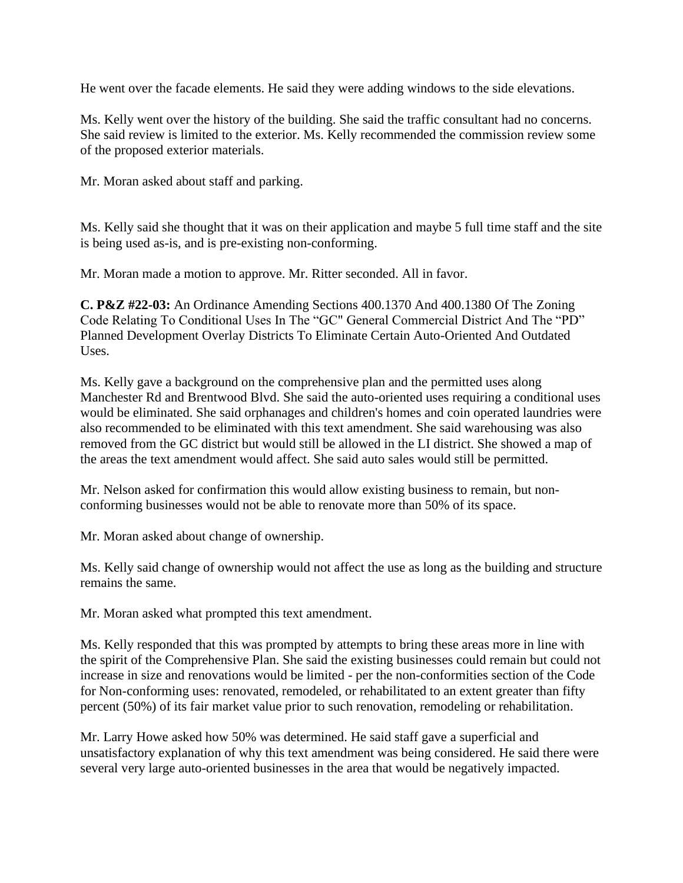He went over the facade elements. He said they were adding windows to the side elevations.

Ms. Kelly went over the history of the building. She said the traffic consultant had no concerns. She said review is limited to the exterior. Ms. Kelly recommended the commission review some of the proposed exterior materials.

Mr. Moran asked about staff and parking.

Ms. Kelly said she thought that it was on their application and maybe 5 full time staff and the site is being used as-is, and is pre-existing non-conforming.

Mr. Moran made a motion to approve. Mr. Ritter seconded. All in favor.

**C. P&Z #22-03:** An Ordinance Amending Sections 400.1370 And 400.1380 Of The Zoning Code Relating To Conditional Uses In The "GC" General Commercial District And The "PD" Planned Development Overlay Districts To Eliminate Certain Auto-Oriented And Outdated Uses.

Ms. Kelly gave a background on the comprehensive plan and the permitted uses along Manchester Rd and Brentwood Blvd. She said the auto-oriented uses requiring a conditional uses would be eliminated. She said orphanages and children's homes and coin operated laundries were also recommended to be eliminated with this text amendment. She said warehousing was also removed from the GC district but would still be allowed in the LI district. She showed a map of the areas the text amendment would affect. She said auto sales would still be permitted.

Mr. Nelson asked for confirmation this would allow existing business to remain, but nonconforming businesses would not be able to renovate more than 50% of its space.

Mr. Moran asked about change of ownership.

Ms. Kelly said change of ownership would not affect the use as long as the building and structure remains the same.

Mr. Moran asked what prompted this text amendment.

Ms. Kelly responded that this was prompted by attempts to bring these areas more in line with the spirit of the Comprehensive Plan. She said the existing businesses could remain but could not increase in size and renovations would be limited - per the non-conformities section of the Code for Non-conforming uses: renovated, remodeled, or rehabilitated to an extent greater than fifty percent (50%) of its fair market value prior to such renovation, remodeling or rehabilitation.

Mr. Larry Howe asked how 50% was determined. He said staff gave a superficial and unsatisfactory explanation of why this text amendment was being considered. He said there were several very large auto-oriented businesses in the area that would be negatively impacted.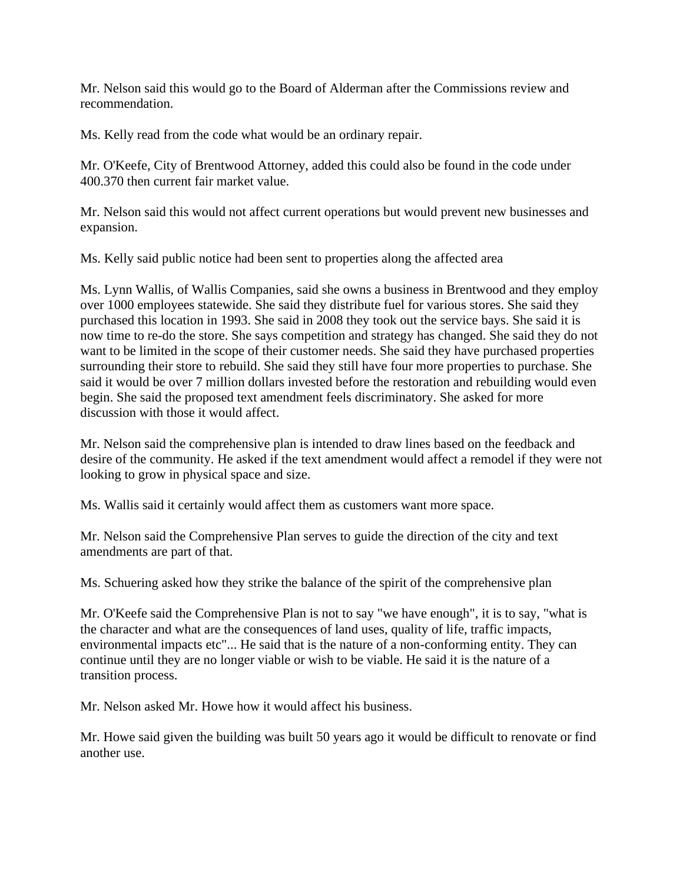Mr. Nelson said this would go to the Board of Alderman after the Commissions review and recommendation.

Ms. Kelly read from the code what would be an ordinary repair.

Mr. O'Keefe, City of Brentwood Attorney, added this could also be found in the code under 400.370 then current fair market value.

Mr. Nelson said this would not affect current operations but would prevent new businesses and expansion.

Ms. Kelly said public notice had been sent to properties along the affected area

Ms. Lynn Wallis, of Wallis Companies, said she owns a business in Brentwood and they employ over 1000 employees statewide. She said they distribute fuel for various stores. She said they purchased this location in 1993. She said in 2008 they took out the service bays. She said it is now time to re-do the store. She says competition and strategy has changed. She said they do not want to be limited in the scope of their customer needs. She said they have purchased properties surrounding their store to rebuild. She said they still have four more properties to purchase. She said it would be over 7 million dollars invested before the restoration and rebuilding would even begin. She said the proposed text amendment feels discriminatory. She asked for more discussion with those it would affect.

Mr. Nelson said the comprehensive plan is intended to draw lines based on the feedback and desire of the community. He asked if the text amendment would affect a remodel if they were not looking to grow in physical space and size.

Ms. Wallis said it certainly would affect them as customers want more space.

Mr. Nelson said the Comprehensive Plan serves to guide the direction of the city and text amendments are part of that.

Ms. Schuering asked how they strike the balance of the spirit of the comprehensive plan

Mr. O'Keefe said the Comprehensive Plan is not to say "we have enough", it is to say, "what is the character and what are the consequences of land uses, quality of life, traffic impacts, environmental impacts etc"... He said that is the nature of a non-conforming entity. They can continue until they are no longer viable or wish to be viable. He said it is the nature of a transition process.

Mr. Nelson asked Mr. Howe how it would affect his business.

Mr. Howe said given the building was built 50 years ago it would be difficult to renovate or find another use.